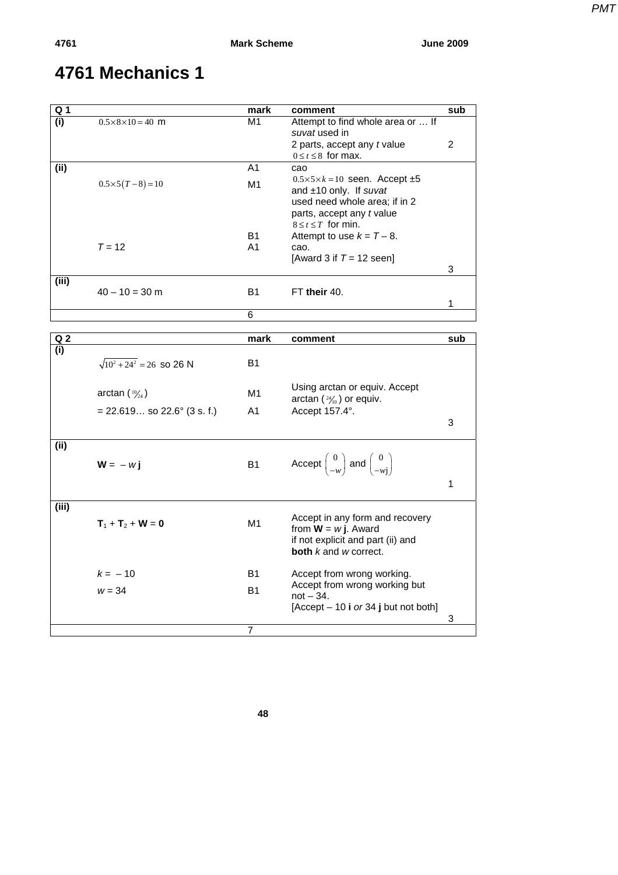*PMT*

| Q <sub>1</sub> |                                   | mark           | comment                                                                                     | sub            |
|----------------|-----------------------------------|----------------|---------------------------------------------------------------------------------------------|----------------|
| (i)            | $0.5 \times 8 \times 10 = 40$ m   | M1             | Attempt to find whole area or  If<br>suvat used in                                          |                |
|                |                                   |                | 2 parts, accept any t value<br>$0 \le t \le 8$ for max.                                     | $\overline{2}$ |
| (ii)           |                                   | A <sub>1</sub> | cao                                                                                         |                |
|                | $0.5 \times 5(T-8) = 10$          | M1             | $0.5 \times 5 \times k = 10$ seen. Accept $\pm 5$<br>and ±10 only. If suvat                 |                |
|                |                                   |                | used need whole area; if in 2                                                               |                |
|                |                                   |                | parts, accept any t value                                                                   |                |
|                |                                   |                | $8 \le t \le T$ for min.                                                                    |                |
|                |                                   | B1             | Attempt to use $k = T - 8$ .                                                                |                |
|                | $T = 12$                          | A <sub>1</sub> | cao.                                                                                        |                |
|                |                                   |                | [Award 3 if $T = 12$ seen]                                                                  | 3              |
| (iii)          |                                   |                |                                                                                             |                |
|                | $40 - 10 = 30$ m                  | <b>B1</b>      | FT their 40.                                                                                |                |
|                |                                   |                |                                                                                             | 1              |
|                |                                   | 6              |                                                                                             |                |
| Q <sub>2</sub> |                                   | mark           | comment                                                                                     | sub            |
| (i)            |                                   |                |                                                                                             |                |
|                | $\sqrt{10^2 + 24^2}$ = 26 so 26 N | <b>B1</b>      |                                                                                             |                |
|                |                                   |                |                                                                                             |                |
|                | arctan $(10/24)$                  | M1             | Using arctan or equiv. Accept                                                               |                |
|                |                                   |                | arctan $(24/10)$ or equiv.                                                                  |                |
|                | $= 22.619$ so 22.6° (3 s. f.)     | A1             | Accept 157.4°.                                                                              | 3              |
|                |                                   |                |                                                                                             |                |
| (i)            |                                   |                |                                                                                             |                |
|                | $W = -w i$                        | <b>B1</b>      | Accept $\begin{pmatrix} 0 \\ -w \end{pmatrix}$ and $\begin{pmatrix} 0 \\ -wi \end{pmatrix}$ |                |
|                |                                   |                |                                                                                             |                |
|                |                                   |                |                                                                                             | $\mathbf{1}$   |
| (iii)          |                                   |                |                                                                                             |                |
|                |                                   |                | Accept in any form and recovery                                                             |                |
|                | $T_1 + T_2 + W = 0$               | M <sub>1</sub> | from $W = w$ j. Award                                                                       |                |
|                |                                   |                | if not explicit and part (ii) and                                                           |                |
|                |                                   |                | <b>both</b> $k$ and $w$ correct.                                                            |                |
|                | $k = -10$                         | <b>B1</b>      | Accept from wrong working.                                                                  |                |
|                | $w = 34$                          | <b>B1</b>      | Accept from wrong working but                                                               |                |
|                |                                   |                | $not - 34.$                                                                                 |                |
|                |                                   |                | [Accept $-10$ i or 34 j but not both]                                                       |                |
|                |                                   |                |                                                                                             | 3              |
|                |                                   | 7              |                                                                                             |                |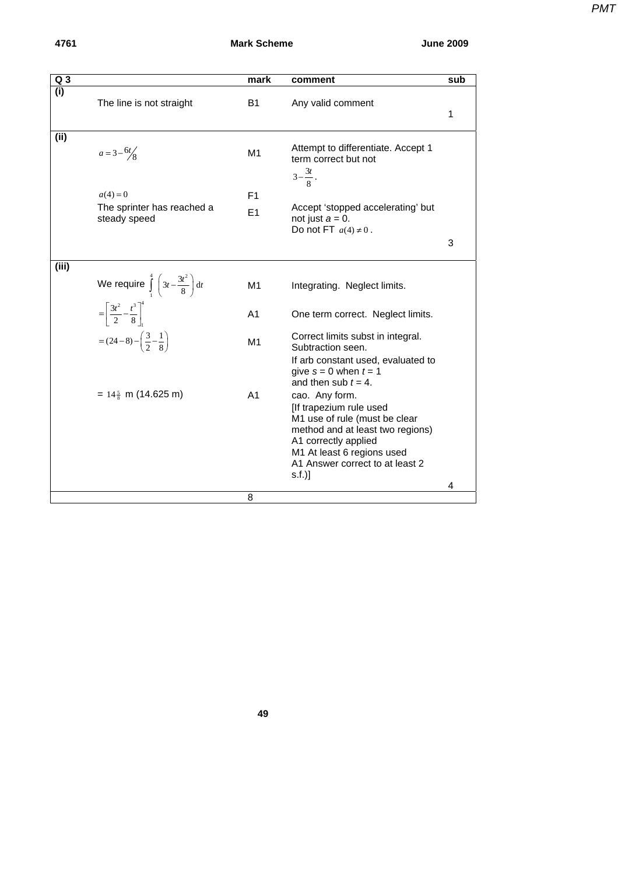## **4761 Mark Scheme June 2009**

| Q <sub>3</sub> |                                                               | mark                 | comment                                                                                                                                                                                                          | sub |
|----------------|---------------------------------------------------------------|----------------------|------------------------------------------------------------------------------------------------------------------------------------------------------------------------------------------------------------------|-----|
| (i)            | The line is not straight                                      | B <sub>1</sub>       | Any valid comment                                                                                                                                                                                                | 1   |
| (ii)           | $a = 3 - 6t/8$                                                | M1                   | Attempt to differentiate. Accept 1<br>term correct but not<br>$3-\frac{3t}{8}$ .                                                                                                                                 |     |
|                | $a(4) = 0$<br>The sprinter has reached a<br>steady speed      | F <sub>1</sub><br>E1 | Accept 'stopped accelerating' but<br>not just $a = 0$ .                                                                                                                                                          |     |
|                |                                                               |                      | Do not FT $a(4) \neq 0$ .                                                                                                                                                                                        | 3   |
| (iii)          | We require $\int_{1}^{4} \left(3t - \frac{3t^2}{8}\right) dt$ | M1                   | Integrating. Neglect limits.                                                                                                                                                                                     |     |
|                | $=\left[\frac{3t^2}{2}-\frac{t^3}{8}\right]^4$                | A <sub>1</sub>       | One term correct. Neglect limits.                                                                                                                                                                                |     |
|                | $=(24-8)-\left(\frac{3}{2}-\frac{1}{8}\right)$                | M <sub>1</sub>       | Correct limits subst in integral.<br>Subtraction seen.<br>If arb constant used, evaluated to<br>give $s = 0$ when $t = 1$<br>and then sub $t = 4$ .                                                              |     |
|                | $= 14\frac{5}{8}$ m (14.625 m)                                | A <sub>1</sub>       | cao. Any form.<br>[If trapezium rule used<br>M1 use of rule (must be clear<br>method and at least two regions)<br>A1 correctly applied<br>M1 At least 6 regions used<br>A1 Answer correct to at least 2<br>s.f.) |     |
|                |                                                               |                      |                                                                                                                                                                                                                  | 4   |
|                |                                                               | 8                    |                                                                                                                                                                                                                  |     |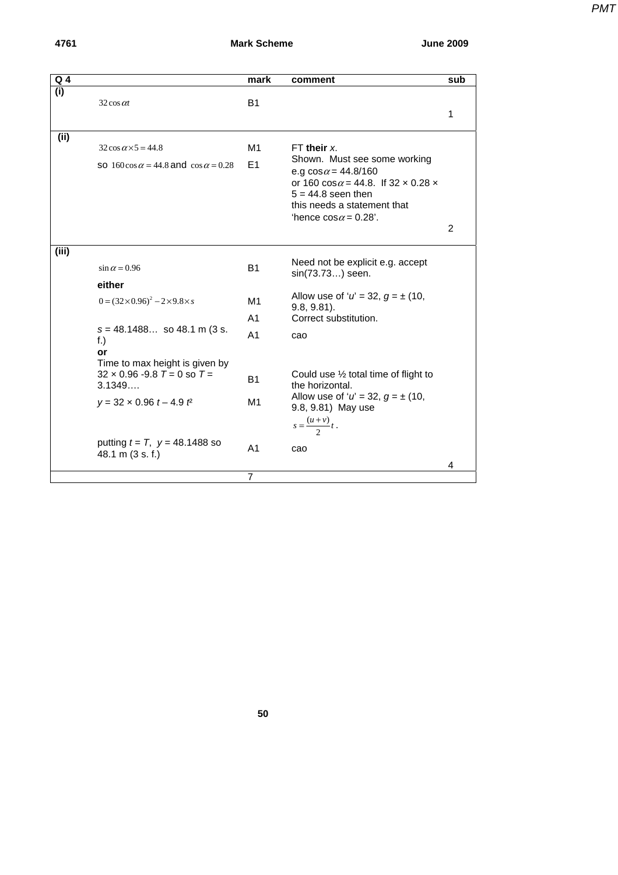**4761 Mark Scheme June 2009** 

| PMT |
|-----|
|     |

| $Q$ 4 |                                                    | mark           | comment                                                     | sub |
|-------|----------------------------------------------------|----------------|-------------------------------------------------------------|-----|
| (i)   |                                                    |                |                                                             |     |
|       | $32 \cos \alpha t$                                 | <b>B1</b>      |                                                             |     |
|       |                                                    |                |                                                             | 1   |
|       |                                                    |                |                                                             |     |
| (i)   | $32\cos \alpha \times 5 = 44.8$                    | M1             | $FT$ their $x$ .                                            |     |
|       | so 160 cos $\alpha$ = 44.8 and cos $\alpha$ = 0.28 | E1             | Shown. Must see some working<br>e.g $cos \alpha = 44.8/160$ |     |
|       |                                                    |                | or 160 $\cos \alpha = 44.8$ . If 32 x 0.28 x                |     |
|       |                                                    |                | $5 = 44.8$ seen then                                        |     |
|       |                                                    |                | this needs a statement that                                 |     |
|       |                                                    |                | 'hence cos $\alpha$ = 0.28'.                                |     |
|       |                                                    |                |                                                             | 2   |
|       |                                                    |                |                                                             |     |
| (iii) |                                                    |                |                                                             |     |
|       | $\sin \alpha = 0.96$                               | <b>B1</b>      | Need not be explicit e.g. accept<br>sin(73.73) seen.        |     |
|       | either                                             |                |                                                             |     |
|       | $0 = (32 \times 0.96)^2 - 2 \times 9.8 \times s$   | M1             | Allow use of ' $u' = 32$ , $g = \pm (10)$ ,                 |     |
|       |                                                    |                | $9.8, 9.81$ ).                                              |     |
|       |                                                    | A <sub>1</sub> | Correct substitution.                                       |     |
|       | $s = 48.1488$ so 48.1 m (3 s.                      | A <sub>1</sub> | cao                                                         |     |
|       | $f$ .)<br>or                                       |                |                                                             |     |
|       | Time to max height is given by                     |                |                                                             |     |
|       | $32 \times 0.96 - 9.8$ T = 0 so T =                |                | Could use $\frac{1}{2}$ total time of flight to             |     |
|       | 3.1349                                             | B1             | the horizontal.                                             |     |
|       | $y = 32 \times 0.96 t - 4.9 t^2$                   | M1             | Allow use of ' $u' = 32$ , $g = \pm (10)$ ,                 |     |
|       |                                                    |                | 9.8, 9.81) May use                                          |     |
|       |                                                    |                | $s = \frac{(u+v)}{2}t$ .                                    |     |
|       | putting $t = T$ , $y = 48.1488$ so                 |                |                                                             |     |
|       | 48.1 m (3 s. f.)                                   | A <sub>1</sub> | cao                                                         |     |
|       |                                                    |                |                                                             | 4   |
|       |                                                    | $\overline{7}$ |                                                             |     |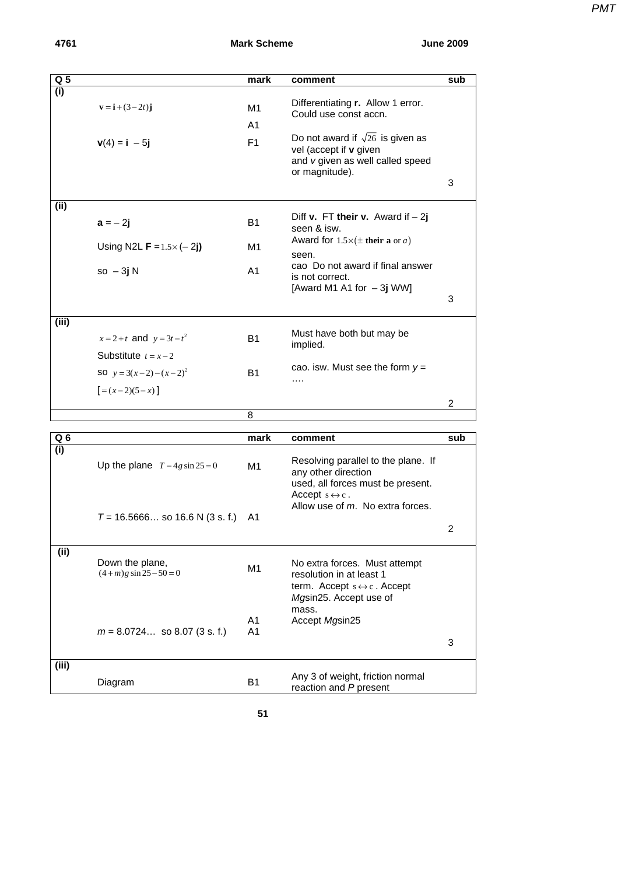| PMT |
|-----|
|     |
|     |

| Q <sub>5</sub> |                                         | mark                 | comment                                                             | sub            |
|----------------|-----------------------------------------|----------------------|---------------------------------------------------------------------|----------------|
| (i)            |                                         |                      |                                                                     |                |
|                | ${\bf v} = {\bf i} + (3 - 2t) {\bf j}$  | M1                   | Differentiating <b>r.</b> Allow 1 error.                            |                |
|                |                                         | A1                   | Could use const accn.                                               |                |
|                |                                         |                      | Do not award if $\sqrt{26}$ is given as                             |                |
|                | $v(4) = i - 5j$                         | F <sub>1</sub>       | vel (accept if v given                                              |                |
|                |                                         |                      | and v given as well called speed                                    |                |
|                |                                         |                      | or magnitude).                                                      |                |
|                |                                         |                      |                                                                     | 3              |
| (i)            |                                         |                      |                                                                     |                |
|                |                                         |                      | Diff <b>v.</b> FT their <b>v.</b> Award if $-2j$                    |                |
|                | $a = -2j$                               | B1                   | seen & isw.                                                         |                |
|                | Using N2L <b>F</b> = $1.5 \times (-2j)$ | M1                   | Award for $1.5 \times (\pm \text{ their a or } a)$                  |                |
|                |                                         |                      | seen.                                                               |                |
|                | $so - 3jN$                              | A <sub>1</sub>       | cao Do not award if final answer                                    |                |
|                |                                         |                      | is not correct.<br>[Award M1 A1 for $-3j$ WW]                       |                |
|                |                                         |                      |                                                                     | 3              |
|                |                                         |                      |                                                                     |                |
| (iii)          |                                         |                      |                                                                     |                |
|                | $x = 2 + t$ and $y = 3t - t^2$          | B1                   | Must have both but may be<br>implied.                               |                |
|                | Substitute $t = x-2$                    |                      |                                                                     |                |
|                | <b>SO</b> $y = 3(x-2) - (x-2)^2$        |                      | cao. isw. Must see the form $y =$                                   |                |
|                |                                         | Β1                   | $\cdots$                                                            |                |
|                | $[=(x-2)(5-x)]$                         |                      |                                                                     |                |
|                |                                         |                      |                                                                     | $\overline{c}$ |
|                |                                         | 8                    |                                                                     |                |
| Q 6            |                                         | mark                 | comment                                                             | sub            |
| (i)            |                                         |                      |                                                                     |                |
|                | Up the plane $T-4g \sin 25=0$           | M1                   | Resolving parallel to the plane. If                                 |                |
|                |                                         |                      | any other direction                                                 |                |
|                |                                         |                      | used, all forces must be present.<br>Accept $s \leftrightarrow c$ . |                |
|                |                                         |                      | Allow use of m. No extra forces.                                    |                |
|                | $T = 16.5666$ so 16.6 N (3 s. f.)       | A1                   |                                                                     |                |
|                |                                         |                      |                                                                     | 2              |
|                |                                         |                      |                                                                     |                |
| (ii)           | Down the plane,                         |                      | No extra forces. Must attempt                                       |                |
|                | $(4+m)$ g sin 25 – 50 = 0               | M <sub>1</sub>       | resolution in at least 1                                            |                |
|                |                                         |                      | term. Accept $s \leftrightarrow c$ . Accept                         |                |
|                |                                         |                      | Mgsin25. Accept use of                                              |                |
|                |                                         |                      | mass.                                                               |                |
|                | $m = 8.0724$ so 8.07 (3 s. f.)          | A1<br>A <sub>1</sub> | Accept Mgsin25                                                      |                |
|                |                                         |                      |                                                                     | 3              |
|                |                                         |                      |                                                                     |                |
| (iii)          |                                         |                      |                                                                     |                |
|                | Diagram                                 | <b>B1</b>            | Any 3 of weight, friction normal<br>reaction and P present          |                |
|                |                                         |                      |                                                                     |                |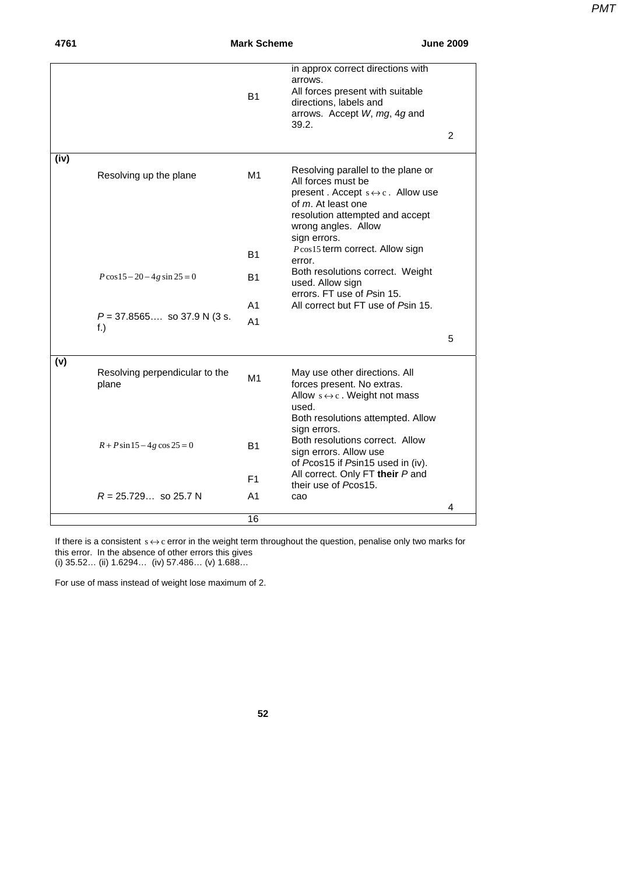| 4761 |                                         | <b>Mark Scheme</b> |                                                                                                                                                                                                               | <b>June 2009</b> |
|------|-----------------------------------------|--------------------|---------------------------------------------------------------------------------------------------------------------------------------------------------------------------------------------------------------|------------------|
|      |                                         | <b>B1</b>          | in approx correct directions with<br>arrows.<br>All forces present with suitable<br>directions, labels and<br>arrows. Accept W, mg, 4g and<br>39.2.                                                           |                  |
|      |                                         |                    |                                                                                                                                                                                                               | 2                |
| (iv) | Resolving up the plane                  | M1                 | Resolving parallel to the plane or<br>All forces must be<br>present. Accept $s \leftrightarrow c$ . Allow use<br>of m. At least one<br>resolution attempted and accept<br>wrong angles. Allow<br>sign errors. |                  |
|      |                                         | B1                 | Pcos15 term correct. Allow sign<br>error.                                                                                                                                                                     |                  |
|      | $P\cos 15 - 20 - 4g \sin 25 = 0$        | В1                 | Both resolutions correct. Weight<br>used. Allow sign<br>errors. FT use of Psin 15.                                                                                                                            |                  |
|      |                                         | A <sub>1</sub>     | All correct but FT use of Psin 15.                                                                                                                                                                            |                  |
|      | $P = 37.8565$ so 37.9 N (3 s.<br>$f.$ ) | A1                 |                                                                                                                                                                                                               | 5                |
| (v)  | Resolving perpendicular to the<br>plane | M1                 | May use other directions. All<br>forces present. No extras.<br>Allow $s \leftrightarrow c$ . Weight not mass<br>used.                                                                                         |                  |
|      | $R + P \sin 15 - 4g \cos 25 = 0$        | B1                 | Both resolutions attempted. Allow<br>sign errors.<br>Both resolutions correct. Allow<br>sign errors. Allow use<br>of Pcos15 if Psin15 used in (iv).                                                           |                  |
|      |                                         | F1.                | All correct. Only FT their P and<br>their use of Pcos15.                                                                                                                                                      |                  |
|      | $R = 25.729$ so 25.7 N                  | A1                 | cao                                                                                                                                                                                                           | 4                |
|      |                                         | 16                 |                                                                                                                                                                                                               |                  |

If there is a consistent  $s \leftrightarrow c$  error in the weight term throughout the question, penalise only two marks for this error. In the absence of other errors this gives (i) 35.52… (ii) 1.6294… (iv) 57.486… (v) 1.688…

For use of mass instead of weight lose maximum of 2.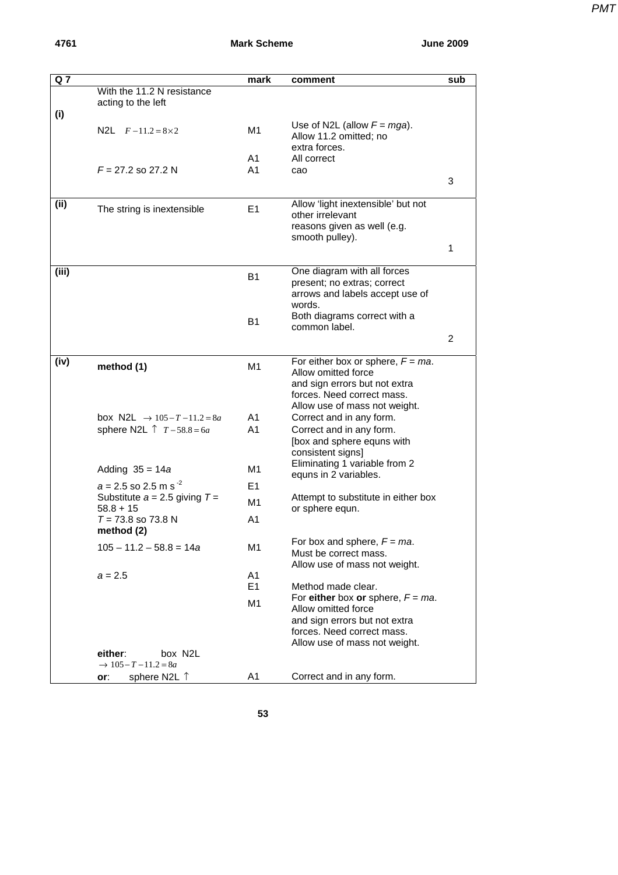| PMT |
|-----|
|     |

| Q <sub>7</sub> |                                                         | mark           | comment                                                                                                                                                     | sub |
|----------------|---------------------------------------------------------|----------------|-------------------------------------------------------------------------------------------------------------------------------------------------------------|-----|
|                | With the 11.2 N resistance<br>acting to the left        |                |                                                                                                                                                             |     |
| (i)            | N2L $F-11.2=8\times2$                                   | M1             | Use of N2L (allow $F = mga$ ).<br>Allow 11.2 omitted; no<br>extra forces.                                                                                   |     |
|                |                                                         | A1             | All correct                                                                                                                                                 |     |
|                | $F = 27.2$ so 27.2 N                                    | A1             | cao                                                                                                                                                         |     |
|                |                                                         |                |                                                                                                                                                             | 3   |
| (ii)           | The string is inextensible                              | E <sub>1</sub> | Allow 'light inextensible' but not<br>other irrelevant<br>reasons given as well (e.g.<br>smooth pulley).                                                    |     |
|                |                                                         |                |                                                                                                                                                             | 1   |
| (iii)          |                                                         | <b>B1</b>      | One diagram with all forces<br>present; no extras; correct                                                                                                  |     |
|                |                                                         |                | arrows and labels accept use of<br>words.                                                                                                                   |     |
|                |                                                         | B1             | Both diagrams correct with a<br>common label.                                                                                                               |     |
|                |                                                         |                |                                                                                                                                                             | 2   |
| (iv)           | method (1)                                              | M1             | For either box or sphere, $F = ma$ .<br>Allow omitted force<br>and sign errors but not extra<br>forces. Need correct mass.<br>Allow use of mass not weight. |     |
|                | box N2L $\rightarrow$ 105-T-11.2=8a                     | A <sub>1</sub> | Correct and in any form.                                                                                                                                    |     |
|                | sphere N2L $\uparrow$ $T - 58.8 = 6a$                   | A <sub>1</sub> | Correct and in any form.<br>[box and sphere equns with<br>consistent signs]                                                                                 |     |
|                | Adding $35 = 14a$                                       | M1             | Eliminating 1 variable from 2                                                                                                                               |     |
|                | $a = 2.5$ so 2.5 m s <sup>-2</sup>                      | E <sub>1</sub> | equns in 2 variables.                                                                                                                                       |     |
|                | Substitute $a = 2.5$ giving $T =$<br>$58.8 + 15$        | M1             | Attempt to substitute in either box<br>or sphere equn.                                                                                                      |     |
|                | $T = 73.8$ so 73.8 N<br>method (2)                      | A <sub>1</sub> |                                                                                                                                                             |     |
|                | $105 - 11.2 - 58.8 = 14a$                               | M1             | For box and sphere, $F = ma$ .<br>Must be correct mass.<br>Allow use of mass not weight.                                                                    |     |
|                | $a = 2.5$                                               | A1             |                                                                                                                                                             |     |
|                |                                                         | E <sub>1</sub> | Method made clear.                                                                                                                                          |     |
|                |                                                         | M1             | For either box or sphere, $F = ma$ .<br>Allow omitted force<br>and sign errors but not extra                                                                |     |
|                |                                                         |                | forces. Need correct mass.<br>Allow use of mass not weight.                                                                                                 |     |
|                | either:<br>box N2L<br>$\rightarrow 105 - T - 11.2 = 8a$ |                |                                                                                                                                                             |     |
|                | sphere N2L ↑<br>or:                                     | A1             | Correct and in any form.                                                                                                                                    |     |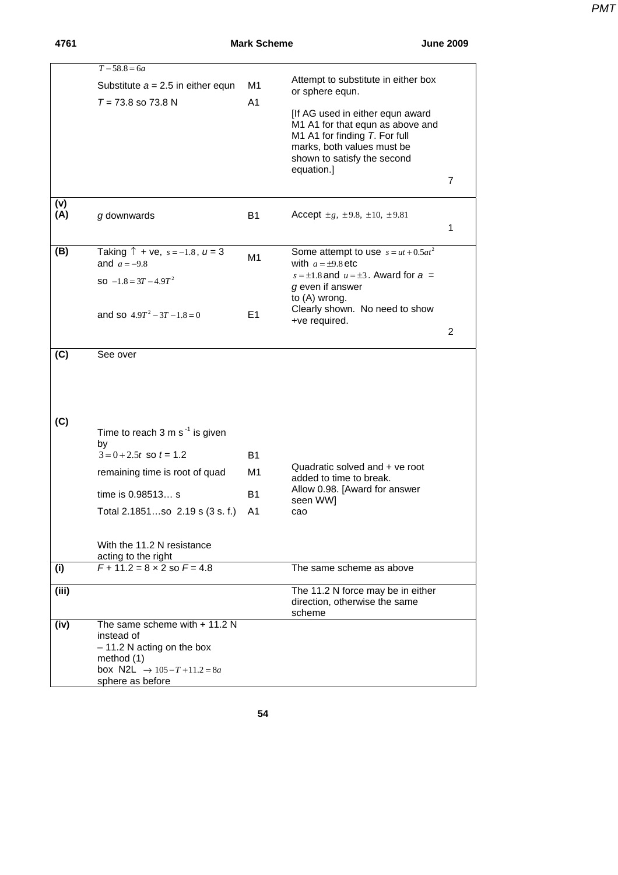| 4761       |                                                                                                                                                        | <b>Mark Scheme</b>   |                                                                                                                                              | <b>June 2009</b> |
|------------|--------------------------------------------------------------------------------------------------------------------------------------------------------|----------------------|----------------------------------------------------------------------------------------------------------------------------------------------|------------------|
|            | $T - 58.8 = 6a$<br>Substitute $a = 2.5$ in either equn<br>$T = 73.8$ so 73.8 N                                                                         | M1<br>A <sub>1</sub> | Attempt to substitute in either box<br>or sphere equn.<br>[If AG used in either equn award                                                   |                  |
|            |                                                                                                                                                        |                      | M1 A1 for that equn as above and<br>M1 A1 for finding T. For full<br>marks, both values must be<br>shown to satisfy the second<br>equation.] | 7                |
| (v)<br>(A) | g downwards                                                                                                                                            | <b>B1</b>            | Accept $\pm g$ , $\pm 9.8$ , $\pm 10$ , $\pm 9.81$                                                                                           | 1                |
| (B)        | Taking $\uparrow$ + ve, s = -1.8, u = 3<br>and $a = -9.8$                                                                                              | M1                   | Some attempt to use $s = ut + 0.5at^2$<br>with $a = \pm 9.8$ etc                                                                             |                  |
|            | SO $-1.8 = 3T - 4.9T^2$                                                                                                                                |                      | $s = \pm 1.8$ and $u = \pm 3$ . Award for $a =$<br>g even if answer<br>to (A) wrong.                                                         |                  |
|            | and so $4.9T^2 - 3T - 1.8 = 0$                                                                                                                         | E <sub>1</sub>       | Clearly shown. No need to show<br>+ve required.                                                                                              | 2                |
| (C)        | See over                                                                                                                                               |                      |                                                                                                                                              |                  |
| (C)        | Time to reach $3 \text{ m s}^{-1}$ is given<br>by                                                                                                      |                      |                                                                                                                                              |                  |
|            | $3 = 0 + 2.5t$ so $t = 1.2$                                                                                                                            | B1                   |                                                                                                                                              |                  |
|            | remaining time is root of quad                                                                                                                         | M1                   | Quadratic solved and + ve root<br>added to time to break.<br>Allow 0.98. [Award for answer                                                   |                  |
|            | time is 0.98513 s                                                                                                                                      | <b>B1</b>            | seen WW]                                                                                                                                     |                  |
|            | Total 2.1851so 2.19 s (3 s. f.)                                                                                                                        | A1                   | cao                                                                                                                                          |                  |
|            | With the 11.2 N resistance<br>acting to the right                                                                                                      |                      |                                                                                                                                              |                  |
| (i)        | $F + 11.2 = 8 \times 2$ so $F = 4.8$                                                                                                                   |                      | The same scheme as above                                                                                                                     |                  |
| (iii)      |                                                                                                                                                        |                      | The 11.2 N force may be in either<br>direction, otherwise the same<br>scheme                                                                 |                  |
| (iv)       | The same scheme with $+11.2$ N<br>instead of<br>$-11.2$ N acting on the box<br>method $(1)$<br>box N2L $\rightarrow$ 105-T+11.2=8a<br>sphere as before |                      |                                                                                                                                              |                  |